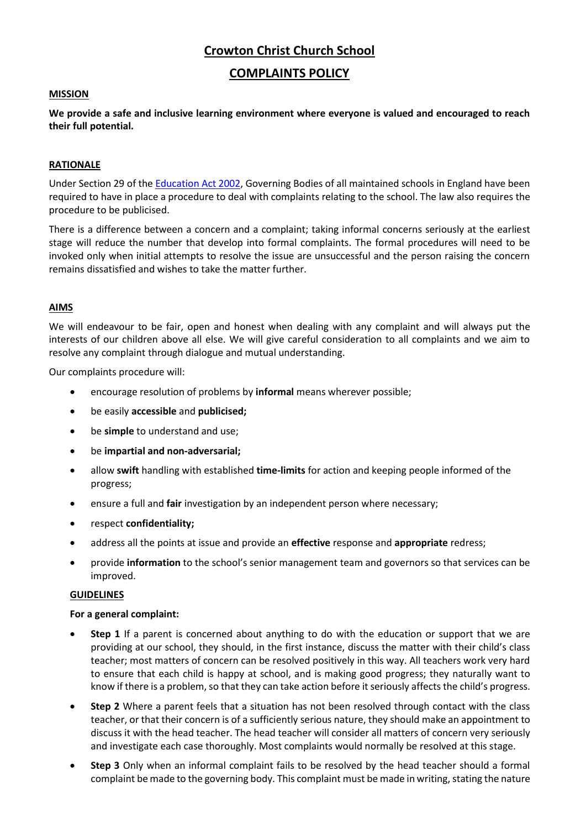# **Crowton Christ Church School**

# **COMPLAINTS POLICY**

#### **MISSION**

**We provide a safe and inclusive learning environment where everyone is valued and encouraged to reach their full potential.**

# **RATIONALE**

Under Section 29 of the [Education Act 2002,](http://www.legislation.gov.uk/ukpga/2002/32/contents) Governing Bodies of all maintained schools in England have been required to have in place a procedure to deal with complaints relating to the school. The law also requires the procedure to be publicised.

There is a difference between a concern and a complaint; taking informal concerns seriously at the earliest stage will reduce the number that develop into formal complaints. The formal procedures will need to be invoked only when initial attempts to resolve the issue are unsuccessful and the person raising the concern remains dissatisfied and wishes to take the matter further.

## **AIMS**

We will endeavour to be fair, open and honest when dealing with any complaint and will always put the interests of our children above all else. We will give careful consideration to all complaints and we aim to resolve any complaint through dialogue and mutual understanding.

Our complaints procedure will:

- encourage resolution of problems by **informal** means wherever possible;
- be easily **accessible** and **publicised;**
- be **simple** to understand and use;
- be **impartial and non-adversarial;**
- allow **swift** handling with established **time-limits** for action and keeping people informed of the progress;
- ensure a full and **fair** investigation by an independent person where necessary;
- respect **confidentiality;**
- address all the points at issue and provide an **effective** response and **appropriate** redress;
- provide **information** to the school's senior management team and governors so that services can be improved.

## **GUIDELINES**

## **For a general complaint:**

- **Step 1** If a parent is concerned about anything to do with the education or support that we are providing at our school, they should, in the first instance, discuss the matter with their child's class teacher; most matters of concern can be resolved positively in this way. All teachers work very hard to ensure that each child is happy at school, and is making good progress; they naturally want to know if there is a problem, so that they can take action before it seriously affects the child's progress.
- **Step 2** Where a parent feels that a situation has not been resolved through contact with the class teacher, or that their concern is of a sufficiently serious nature, they should make an appointment to discuss it with the head teacher. The head teacher will consider all matters of concern very seriously and investigate each case thoroughly. Most complaints would normally be resolved at this stage.
- **Step 3** Only when an informal complaint fails to be resolved by the head teacher should a formal complaint be made to the governing body. This complaint must be made in writing, stating the nature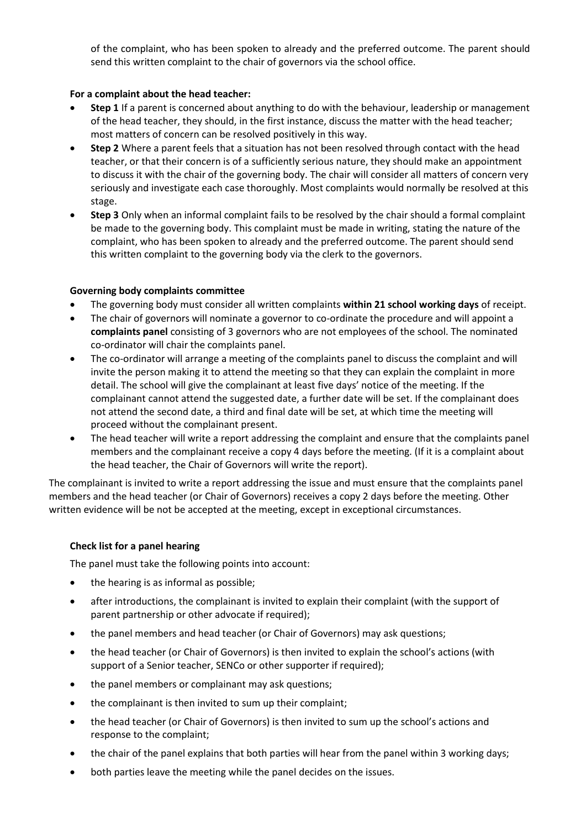of the complaint, who has been spoken to already and the preferred outcome. The parent should send this written complaint to the chair of governors via the school office.

# **For a complaint about the head teacher:**

- **Step 1** If a parent is concerned about anything to do with the behaviour, leadership or management of the head teacher, they should, in the first instance, discuss the matter with the head teacher; most matters of concern can be resolved positively in this way.
- **Step 2** Where a parent feels that a situation has not been resolved through contact with the head teacher, or that their concern is of a sufficiently serious nature, they should make an appointment to discuss it with the chair of the governing body. The chair will consider all matters of concern very seriously and investigate each case thoroughly. Most complaints would normally be resolved at this stage.
- **Step 3** Only when an informal complaint fails to be resolved by the chair should a formal complaint be made to the governing body. This complaint must be made in writing, stating the nature of the complaint, who has been spoken to already and the preferred outcome. The parent should send this written complaint to the governing body via the clerk to the governors.

# **Governing body complaints committee**

- The governing body must consider all written complaints **within 21 school working days** of receipt.
- The chair of governors will nominate a governor to co-ordinate the procedure and will appoint a **complaints panel** consisting of 3 governors who are not employees of the school. The nominated co-ordinator will chair the complaints panel.
- The co-ordinator will arrange a meeting of the complaints panel to discuss the complaint and will invite the person making it to attend the meeting so that they can explain the complaint in more detail. The school will give the complainant at least five days' notice of the meeting. If the complainant cannot attend the suggested date, a further date will be set. If the complainant does not attend the second date, a third and final date will be set, at which time the meeting will proceed without the complainant present.
- The head teacher will write a report addressing the complaint and ensure that the complaints panel members and the complainant receive a copy 4 days before the meeting. (If it is a complaint about the head teacher, the Chair of Governors will write the report).

The complainant is invited to write a report addressing the issue and must ensure that the complaints panel members and the head teacher (or Chair of Governors) receives a copy 2 days before the meeting. Other written evidence will be not be accepted at the meeting, except in exceptional circumstances.

# **Check list for a panel hearing**

The panel must take the following points into account:

- the hearing is as informal as possible;
- after introductions, the complainant is invited to explain their complaint (with the support of parent partnership or other advocate if required);
- the panel members and head teacher (or Chair of Governors) may ask questions;
- the head teacher (or Chair of Governors) is then invited to explain the school's actions (with support of a Senior teacher, SENCo or other supporter if required);
- the panel members or complainant may ask questions;
- the complainant is then invited to sum up their complaint;
- the head teacher (or Chair of Governors) is then invited to sum up the school's actions and response to the complaint;
- the chair of the panel explains that both parties will hear from the panel within 3 working days;
- both parties leave the meeting while the panel decides on the issues.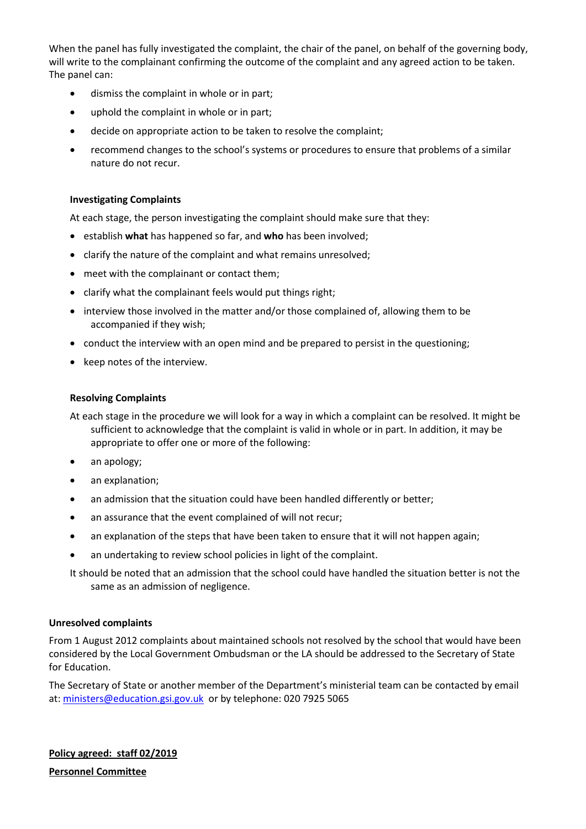When the panel has fully investigated the complaint, the chair of the panel, on behalf of the governing body, will write to the complainant confirming the outcome of the complaint and any agreed action to be taken. The panel can:

- dismiss the complaint in whole or in part;
- uphold the complaint in whole or in part;
- decide on appropriate action to be taken to resolve the complaint;
- recommend changes to the school's systems or procedures to ensure that problems of a similar nature do not recur.

#### **Investigating Complaints**

At each stage, the person investigating the complaint should make sure that they:

- establish **what** has happened so far, and **who** has been involved;
- clarify the nature of the complaint and what remains unresolved;
- meet with the complainant or contact them;
- clarify what the complainant feels would put things right;
- interview those involved in the matter and/or those complained of, allowing them to be accompanied if they wish;
- conduct the interview with an open mind and be prepared to persist in the questioning;
- keep notes of the interview.

#### **Resolving Complaints**

At each stage in the procedure we will look for a way in which a complaint can be resolved. It might be sufficient to acknowledge that the complaint is valid in whole or in part. In addition, it may be appropriate to offer one or more of the following:

- an apology;
- an explanation;
- an admission that the situation could have been handled differently or better;
- an assurance that the event complained of will not recur;
- an explanation of the steps that have been taken to ensure that it will not happen again;
- an undertaking to review school policies in light of the complaint.

It should be noted that an admission that the school could have handled the situation better is not the same as an admission of negligence.

#### **Unresolved complaints**

From 1 August 2012 complaints about maintained schools not resolved by the school that would have been considered by the Local Government Ombudsman or the LA should be addressed to the Secretary of State for Education.

The Secretary of State or another member of the Department's ministerial team can be contacted by email at: [ministers@education.gsi.gov.uk](mailto:ministers@education.gsi.gov.uk) or by telephone: 020 7925 5065